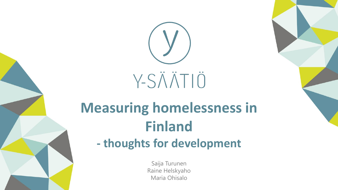

# **Measuring homelessness in Finland**

### **- thoughts for development**

Saija Turunen Raine Helskyaho Maria Ohisalo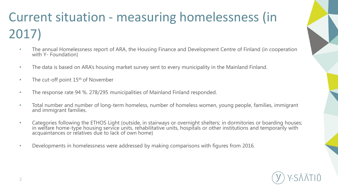## Current situation - measuring homelessness (in 2017)

- The annual Homelessness report of ARA, the Housing Finance and Development Centre of Finland (in cooperation with Y- Foundation)
- The data is based on ARA's housing market survey sent to every municipality in the Mainland Finland.
- The cut-off point  $15<sup>th</sup>$  of November
- The response rate 94 %. 278/295 municipalities of Mainland Finland responded.
- Total number and number of long-term homeless, number of homeless women, young people, families, immigrant and immigrant families.
- Categories following the ETHOS Light (outside, in stairways or overnight shelters; in dormitories or boarding houses; in welfare home-type housing service units, rehabilitative units, hospitals or other institutions and temporarily with<br>acquaintances or relatives due to lack of own home)
- Developments in homelessness were addressed by making comparisons with figures from 2016.

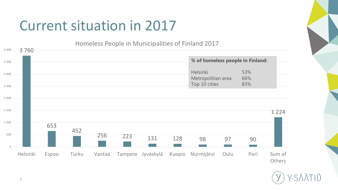### Current situation in 2017

Homeless People in Municipalities of Finland 2017

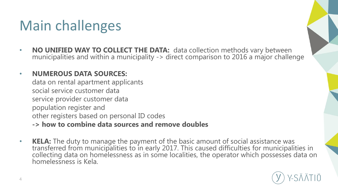### Main challenges

• **NO UNIFIED WAY TO COLLECT THE DATA:** data collection methods vary between municipalities and within a municipality -> direct comparison to 2016 a major challenge

#### • **NUMEROUS DATA SOURCES:**

data on rental apartment applicants social service customer data service provider customer data population register and other registers based on personal ID codes

- **-> how to combine data sources and remove doubles**
- **KELA:** The duty to manage the payment of the basic amount of social assistance was transferred from municipalities to in early 2017. This caused difficulties for municipalities in collecting data on homelessness as in some localities, the operator which possesses data on homelessness is Kela.

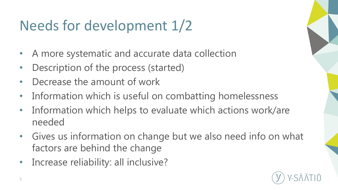## Needs for development 1/2

- A more systematic and accurate data collection
- Description of the process (started)
- Decrease the amount of work
- Information which is useful on combatting homelessness
- Information which helps to evaluate which actions work/are needed
- Gives us information on change but we also need info on what factors are behind the change
- Increase reliability: all inclusive?

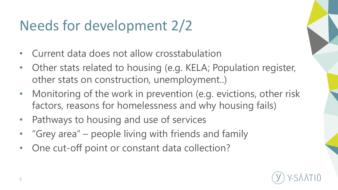## Needs for development 2/2

- Current data does not allow crosstabulation
- Other stats related to housing (e.g. KELA; Population register, other stats on construction, unemployment..)
- Monitoring of the work in prevention (e.g. evictions, other risk factors, reasons for homelessness and why housing fails)
- Pathways to housing and use of services
- "Grey area" – people living with friends and family
- One cut-off point or constant data collection?

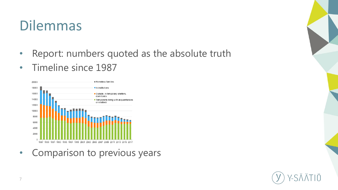### Dilemmas

- Report: numbers quoted as the absolute truth
- Timeline since 1987



• Comparison to previous years